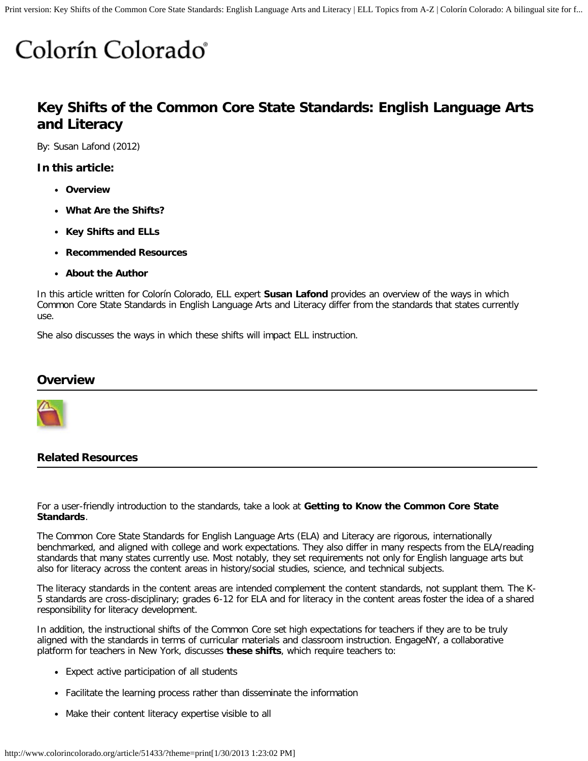# Colorín Colorado<sup>®</sup>

# **Key Shifts of the Common Core State Standards: English Language Arts and Literacy**

By: Susan Lafond (2012)

**In this article:**

- **[Overview](http://www.colorincolorado.org/article/51433#overview)**
- **[What Are the Shifts?](http://www.colorincolorado.org/article/51433#shifts)**
- **[Key Shifts and ELLs](http://www.colorincolorado.org/article/51433#ells)**
- **[Recommended Resources](http://www.colorincolorado.org/article/51433#hotlinks)**
- **[About the Author](http://www.colorincolorado.org/article/51433#author)**

In this article written for Colorín Colorado, ELL expert **[Susan Lafond](http://www.colorincolorado.org/article/51433#author)** provides an overview of the ways in which Common Core State Standards in English Language Arts and Literacy differ from the standards that states currently use.

She also discusses the ways in which these shifts will impact ELL instruction.

#### **Overview**



#### **Related Resources**

For a user-friendly introduction to the standards, take a look at **[Getting to Know the Common Core State](http://www.colorincolorado.org/educators/common_core/introduction/) [Standards](http://www.colorincolorado.org/educators/common_core/introduction/)**.

The Common Core State Standards for English Language Arts (ELA) and Literacy are rigorous, internationally benchmarked, and aligned with college and work expectations. They also differ in many respects from the ELA/reading standards that many states currently use. Most notably, they set requirements not only for English language arts but also for literacy across the content areas in history/social studies, science, and technical subjects.

The literacy standards in the content areas are intended complement the content standards, not supplant them. The K-5 standards are cross-disciplinary; grades 6-12 for ELA and for literacy in the content areas foster the idea of a shared responsibility for literacy development.

In addition, the instructional shifts of the Common Core set high expectations for teachers if they are to be truly aligned with the standards in terms of curricular materials and classroom instruction. EngageNY, a collaborative platform for teachers in New York, discusses **[these shifts](http://engageny.org/wp-content/uploads/2011/08/common-core-shifts.pdf)**, which require teachers to:

- Expect active participation of all students
- Facilitate the learning process rather than disseminate the information
- Make their content literacy expertise visible to all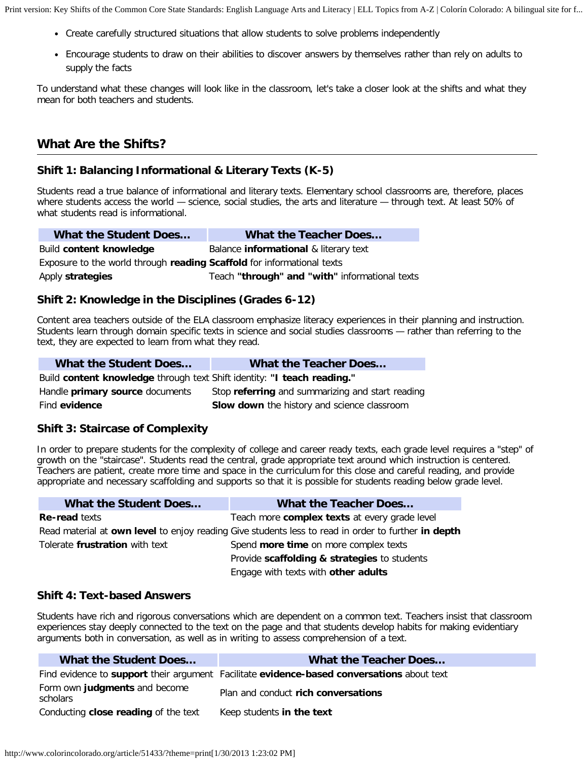Print version: Key Shifts of the Common Core State Standards: English Language Arts and Literacy | ELL Topics from A-Z | Colorín Colorado: A bilingual site for f...

- Create carefully structured situations that allow students to solve problems independently
- Encourage students to draw on their abilities to discover answers by themselves rather than rely on adults to supply the facts

To understand what these changes will look like in the classroom, let's take a closer look at the shifts and what they mean for both teachers and students.

# **What Are the Shifts?**

#### **Shift 1: Balancing Informational & Literary Texts (K-5)**

Students read a true balance of informational and literary texts. Elementary school classrooms are, therefore, places where students access the world – science, social studies, the arts and literature – through text. At least 50% of what students read is informational.

| What the Student Does                                                  | <b>What the Teacher Does</b>                   |  |
|------------------------------------------------------------------------|------------------------------------------------|--|
| Build content knowledge                                                | Balance <b>informational</b> & literary text   |  |
| Exposure to the world through reading Scaffold for informational texts |                                                |  |
| Apply strategies                                                       | Teach "through" and "with" informational texts |  |

#### **Shift 2: Knowledge in the Disciplines (Grades 6-12)**

Content area teachers outside of the ELA classroom emphasize literacy experiences in their planning and instruction. Students learn through domain specific texts in science and social studies classrooms — rather than referring to the text, they are expected to learn from what they read.

| What the Student Does                                                   | What the Teacher Does                              |  |
|-------------------------------------------------------------------------|----------------------------------------------------|--|
| Build content knowledge through text Shift identity: "I teach reading." |                                                    |  |
| Handle <b>primary source</b> documents                                  | Stop referring and summarizing and start reading   |  |
| Find evidence                                                           | <b>Slow down</b> the history and science classroom |  |

#### **Shift 3: Staircase of Complexity**

In order to prepare students for the complexity of college and career ready texts, each grade level requires a "step" of growth on the "staircase". Students read the central, grade appropriate text around which instruction is centered. Teachers are patient, create more time and space in the curriculum for this close and careful reading, and provide appropriate and necessary scaffolding and supports so that it is possible for students reading below grade level.

| <b>What the Student Does</b>   | <b>What the Teacher Does</b>                                                                        |
|--------------------------------|-----------------------------------------------------------------------------------------------------|
| <b>Re-read texts</b>           | Teach more complex texts at every grade level                                                       |
|                                | Read material at own level to enjoy reading Give students less to read in order to further in depth |
| Tolerate frustration with text | Spend more time on more complex texts                                                               |
|                                | Provide scaffolding & strategies to students                                                        |
|                                | Engage with texts with other adults                                                                 |

#### **Shift 4: Text-based Answers**

Students have rich and rigorous conversations which are dependent on a common text. Teachers insist that classroom experiences stay deeply connected to the text on the page and that students develop habits for making evidentiary arguments both in conversation, as well as in writing to assess comprehension of a text.

| What the Student Does                     | <b>What the Teacher Does</b>                                                               |
|-------------------------------------------|--------------------------------------------------------------------------------------------|
|                                           | Find evidence to support their argument Facilitate evidence-based conversations about text |
| Form own judgments and become<br>scholars | Plan and conduct rich conversations                                                        |
| Conducting close reading of the text      | Keep students in the text                                                                  |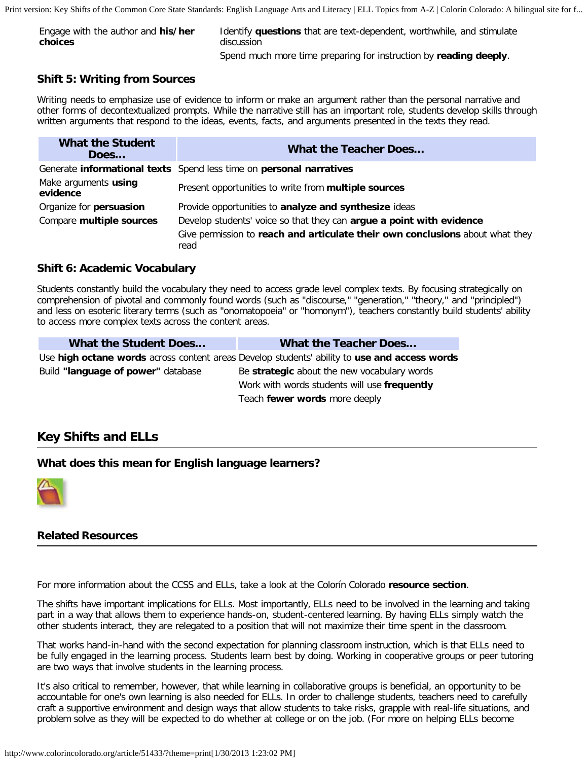Print version: Key Shifts of the Common Core State Standards: English Language Arts and Literacy | ELL Topics from A-Z | Colorín Colorado: A bilingual site for f...

| Engage with the author and his/her | Identify questions that are text-dependent, worthwhile, and stimulate |
|------------------------------------|-----------------------------------------------------------------------|
| choices                            | discussion                                                            |
|                                    | Spend much more time preparing for instruction by reading deeply.     |

#### **Shift 5: Writing from Sources**

Writing needs to emphasize use of evidence to inform or make an argument rather than the personal narrative and other forms of decontextualized prompts. While the narrative still has an important role, students develop skills through written arguments that respond to the ideas, events, facts, and arguments presented in the texts they read.

| <b>What the Student</b><br>Does  | <b>What the Teacher Does</b>                                                                                                                                  |
|----------------------------------|---------------------------------------------------------------------------------------------------------------------------------------------------------------|
|                                  | Generate informational texts Spend less time on personal narratives                                                                                           |
| Make arguments using<br>evidence | Present opportunities to write from multiple sources                                                                                                          |
| Organize for persuasion          | Provide opportunities to analyze and synthesize ideas                                                                                                         |
| Compare multiple sources         | Develop students' voice so that they can argue a point with evidence<br>Give permission to reach and articulate their own conclusions about what they<br>read |

#### **Shift 6: Academic Vocabulary**

Students constantly build the vocabulary they need to access grade level complex texts. By focusing strategically on comprehension of pivotal and commonly found words (such as "discourse," "generation," "theory," and "principled") and less on esoteric literary terms (such as "onomatopoeia" or "homonym"), teachers constantly build students' ability to access more complex texts across the content areas.

| What the Student Does              | <b>What the Teacher Does</b>                                                                 |
|------------------------------------|----------------------------------------------------------------------------------------------|
|                                    | Use high octane words across content areas Develop students' ability to use and access words |
| Build "language of power" database | Be strategic about the new vocabulary words                                                  |
|                                    | Work with words students will use frequently                                                 |
|                                    | Teach fewer words more deeply                                                                |

# **Key Shifts and ELLs**

#### **What does this mean for English language learners?**



#### **Related Resources**

For more information about the CCSS and ELLs, take a look at the Colorín Colorado **[resource section](http://www.colorincolorado.org/educators/common_core/ell/)**.

The shifts have important implications for ELLs. Most importantly, ELLs need to be involved in the learning and taking part in a way that allows them to experience hands-on, student-centered learning. By having ELLs simply watch the other students interact, they are relegated to a position that will not maximize their time spent in the classroom.

That works hand-in-hand with the second expectation for planning classroom instruction, which is that ELLs need to be fully engaged in the learning process. Students learn best by doing. Working in cooperative groups or peer tutoring are two ways that involve students in the learning process.

It's also critical to remember, however, that while learning in collaborative groups is beneficial, an opportunity to be accountable for one's own learning is also needed for ELLs. In order to challenge students, teachers need to carefully craft a supportive environment and design ways that allow students to take risks, grapple with real-life situations, and problem solve as they will be expected to do whether at college or on the job. (For more on helping ELLs become